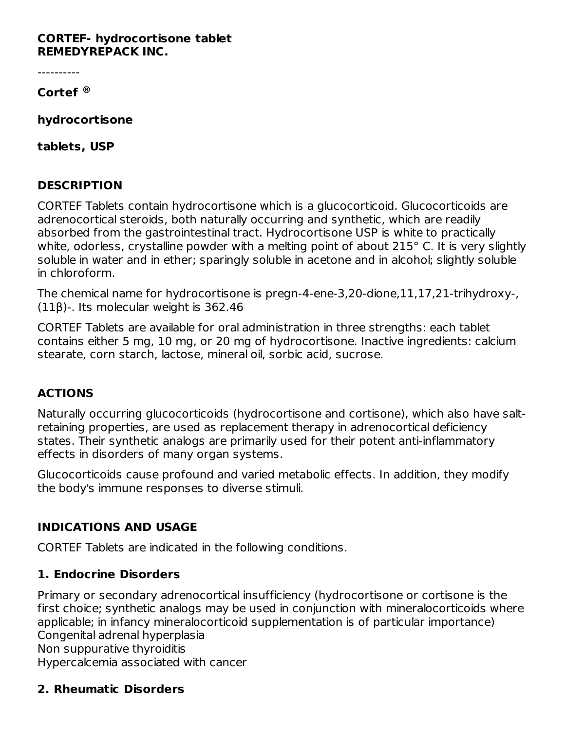#### **CORTEF- hydrocortisone tablet REMEDYREPACK INC.**

**Cortef ®**

**hydrocortisone**

**tablets, USP**

#### **DESCRIPTION**

CORTEF Tablets contain hydrocortisone which is a glucocorticoid. Glucocorticoids are adrenocortical steroids, both naturally occurring and synthetic, which are readily absorbed from the gastrointestinal tract. Hydrocortisone USP is white to practically white, odorless, crystalline powder with a melting point of about 215° C. It is very slightly soluble in water and in ether; sparingly soluble in acetone and in alcohol; slightly soluble in chloroform.

The chemical name for hydrocortisone is pregn-4-ene-3,20-dione,11,17,21-trihydroxy-, (11β)-. Its molecular weight is 362.46

CORTEF Tablets are available for oral administration in three strengths: each tablet contains either 5 mg, 10 mg, or 20 mg of hydrocortisone. Inactive ingredients: calcium stearate, corn starch, lactose, mineral oil, sorbic acid, sucrose.

# **ACTIONS**

Naturally occurring glucocorticoids (hydrocortisone and cortisone), which also have saltretaining properties, are used as replacement therapy in adrenocortical deficiency states. Their synthetic analogs are primarily used for their potent anti-inflammatory effects in disorders of many organ systems.

Glucocorticoids cause profound and varied metabolic effects. In addition, they modify the body's immune responses to diverse stimuli.

#### **INDICATIONS AND USAGE**

CORTEF Tablets are indicated in the following conditions.

#### **1. Endocrine Disorders**

Primary or secondary adrenocortical insufficiency (hydrocortisone or cortisone is the first choice; synthetic analogs may be used in conjunction with mineralocorticoids where applicable; in infancy mineralocorticoid supplementation is of particular importance) Congenital adrenal hyperplasia Non suppurative thyroiditis Hypercalcemia associated with cancer

#### **2. Rheumatic Disorders**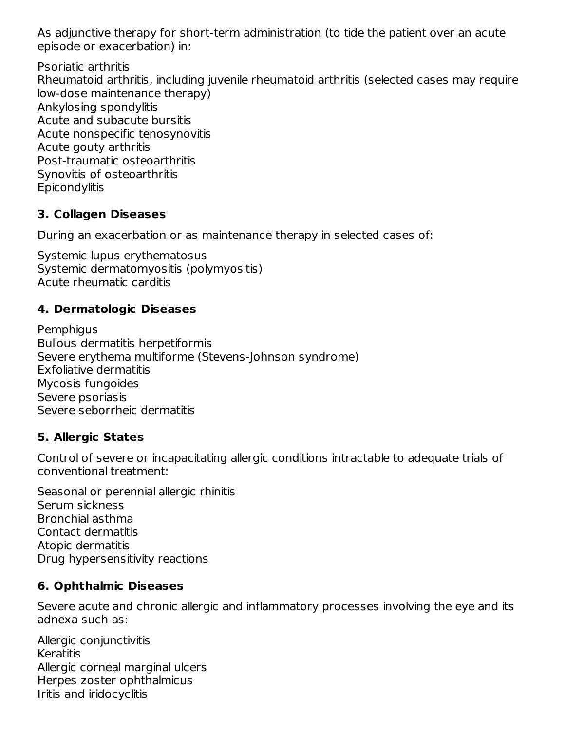As adjunctive therapy for short-term administration (to tide the patient over an acute episode or exacerbation) in:

Psoriatic arthritis Rheumatoid arthritis, including juvenile rheumatoid arthritis (selected cases may require low-dose maintenance therapy) Ankylosing spondylitis Acute and subacute bursitis Acute nonspecific tenosynovitis Acute gouty arthritis Post-traumatic osteoarthritis Synovitis of osteoarthritis **Epicondylitis** 

#### **3. Collagen Diseases**

During an exacerbation or as maintenance therapy in selected cases of:

Systemic lupus erythematosus Systemic dermatomyositis (polymyositis) Acute rheumatic carditis

#### **4. Dermatologic Diseases**

**Pemphiqus** Bullous dermatitis herpetiformis Severe erythema multiforme (Stevens-Johnson syndrome) Exfoliative dermatitis Mycosis fungoides Severe psoriasis Severe seborrheic dermatitis

#### **5. Allergic States**

Control of severe or incapacitating allergic conditions intractable to adequate trials of conventional treatment:

Seasonal or perennial allergic rhinitis Serum sickness Bronchial asthma Contact dermatitis Atopic dermatitis Drug hypersensitivity reactions

#### **6. Ophthalmic Diseases**

Severe acute and chronic allergic and inflammatory processes involving the eye and its adnexa such as:

Allergic conjunctivitis **Keratitis** Allergic corneal marginal ulcers Herpes zoster ophthalmicus Iritis and iridocyclitis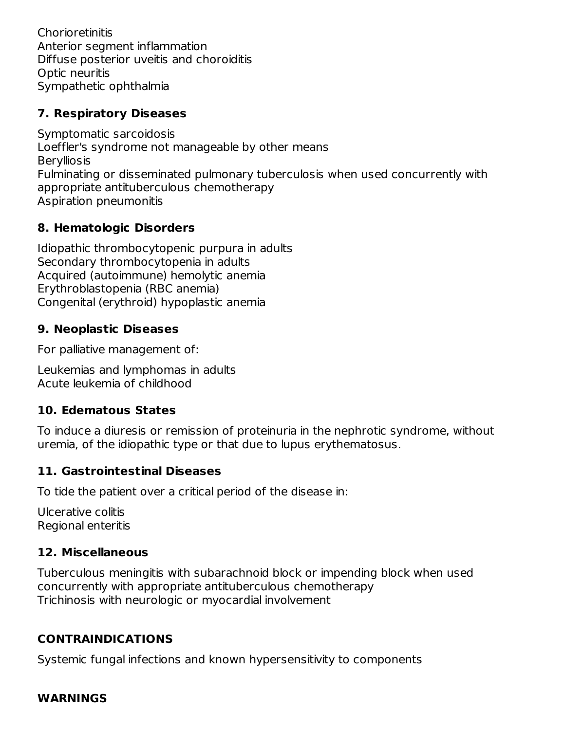Chorioretinitis Anterior segment inflammation Diffuse posterior uveitis and choroiditis Optic neuritis Sympathetic ophthalmia

# **7. Respiratory Diseases**

Symptomatic sarcoidosis Loeffler's syndrome not manageable by other means **Berylliosis** Fulminating or disseminated pulmonary tuberculosis when used concurrently with appropriate antituberculous chemotherapy Aspiration pneumonitis

# **8. Hematologic Disorders**

Idiopathic thrombocytopenic purpura in adults Secondary thrombocytopenia in adults Acquired (autoimmune) hemolytic anemia Erythroblastopenia (RBC anemia) Congenital (erythroid) hypoplastic anemia

# **9. Neoplastic Diseases**

For palliative management of:

Leukemias and lymphomas in adults Acute leukemia of childhood

# **10. Edematous States**

To induce a diuresis or remission of proteinuria in the nephrotic syndrome, without uremia, of the idiopathic type or that due to lupus erythematosus.

# **11. Gastrointestinal Diseases**

To tide the patient over a critical period of the disease in:

Ulcerative colitis Regional enteritis

# **12. Miscellaneous**

Tuberculous meningitis with subarachnoid block or impending block when used concurrently with appropriate antituberculous chemotherapy Trichinosis with neurologic or myocardial involvement

# **CONTRAINDICATIONS**

Systemic fungal infections and known hypersensitivity to components

# **WARNINGS**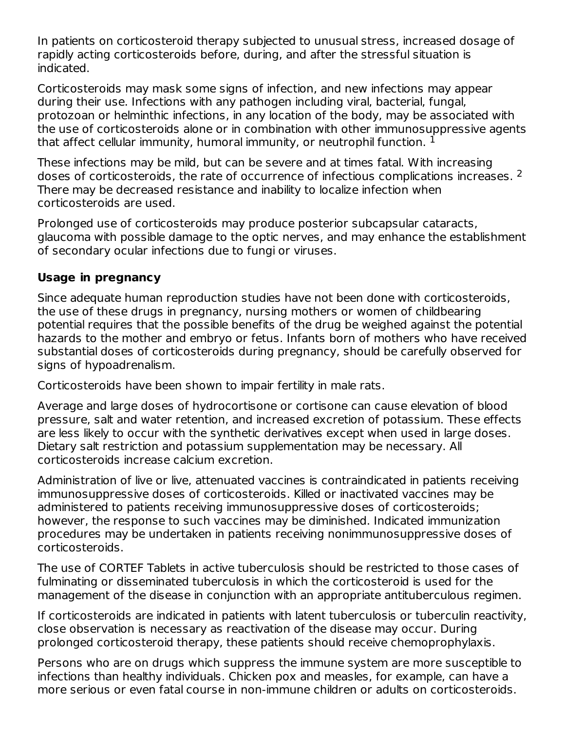In patients on corticosteroid therapy subjected to unusual stress, increased dosage of rapidly acting corticosteroids before, during, and after the stressful situation is indicated.

Corticosteroids may mask some signs of infection, and new infections may appear during their use. Infections with any pathogen including viral, bacterial, fungal, protozoan or helminthic infections, in any location of the body, may be associated with the use of corticosteroids alone or in combination with other immunosuppressive agents that affect cellular immunity, humoral immunity, or neutrophil function.  $^{\rm 1}$ 

These infections may be mild, but can be severe and at times fatal. With increasing doses of corticosteroids, the rate of occurrence of infectious complications increases.  $^{\mathsf{2}}$ There may be decreased resistance and inability to localize infection when corticosteroids are used.

Prolonged use of corticosteroids may produce posterior subcapsular cataracts, glaucoma with possible damage to the optic nerves, and may enhance the establishment of secondary ocular infections due to fungi or viruses.

#### **Usage in pregnancy**

Since adequate human reproduction studies have not been done with corticosteroids, the use of these drugs in pregnancy, nursing mothers or women of childbearing potential requires that the possible benefits of the drug be weighed against the potential hazards to the mother and embryo or fetus. Infants born of mothers who have received substantial doses of corticosteroids during pregnancy, should be carefully observed for signs of hypoadrenalism.

Corticosteroids have been shown to impair fertility in male rats.

Average and large doses of hydrocortisone or cortisone can cause elevation of blood pressure, salt and water retention, and increased excretion of potassium. These effects are less likely to occur with the synthetic derivatives except when used in large doses. Dietary salt restriction and potassium supplementation may be necessary. All corticosteroids increase calcium excretion.

Administration of live or live, attenuated vaccines is contraindicated in patients receiving immunosuppressive doses of corticosteroids. Killed or inactivated vaccines may be administered to patients receiving immunosuppressive doses of corticosteroids; however, the response to such vaccines may be diminished. Indicated immunization procedures may be undertaken in patients receiving nonimmunosuppressive doses of corticosteroids.

The use of CORTEF Tablets in active tuberculosis should be restricted to those cases of fulminating or disseminated tuberculosis in which the corticosteroid is used for the management of the disease in conjunction with an appropriate antituberculous regimen.

If corticosteroids are indicated in patients with latent tuberculosis or tuberculin reactivity, close observation is necessary as reactivation of the disease may occur. During prolonged corticosteroid therapy, these patients should receive chemoprophylaxis.

Persons who are on drugs which suppress the immune system are more susceptible to infections than healthy individuals. Chicken pox and measles, for example, can have a more serious or even fatal course in non-immune children or adults on corticosteroids.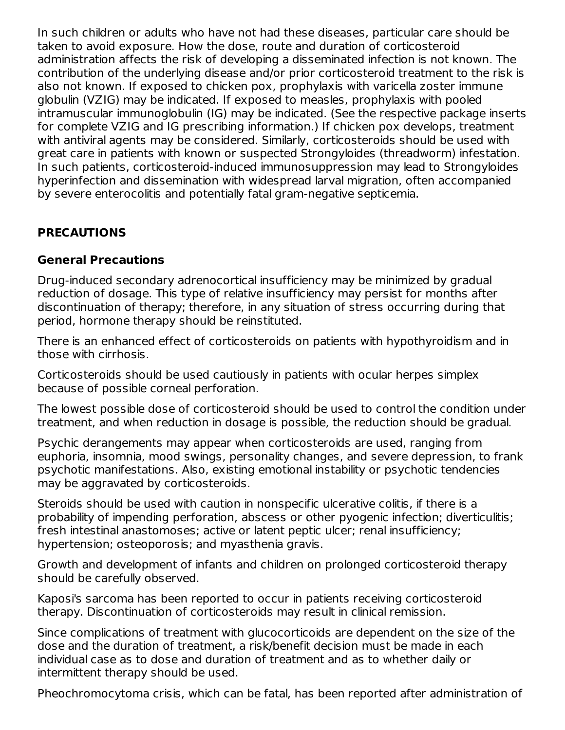In such children or adults who have not had these diseases, particular care should be taken to avoid exposure. How the dose, route and duration of corticosteroid administration affects the risk of developing a disseminated infection is not known. The contribution of the underlying disease and/or prior corticosteroid treatment to the risk is also not known. If exposed to chicken pox, prophylaxis with varicella zoster immune globulin (VZIG) may be indicated. If exposed to measles, prophylaxis with pooled intramuscular immunoglobulin (IG) may be indicated. (See the respective package inserts for complete VZIG and IG prescribing information.) If chicken pox develops, treatment with antiviral agents may be considered. Similarly, corticosteroids should be used with great care in patients with known or suspected Strongyloides (threadworm) infestation. In such patients, corticosteroid-induced immunosuppression may lead to Strongyloides hyperinfection and dissemination with widespread larval migration, often accompanied by severe enterocolitis and potentially fatal gram-negative septicemia.

# **PRECAUTIONS**

#### **General Precautions**

Drug-induced secondary adrenocortical insufficiency may be minimized by gradual reduction of dosage. This type of relative insufficiency may persist for months after discontinuation of therapy; therefore, in any situation of stress occurring during that period, hormone therapy should be reinstituted.

There is an enhanced effect of corticosteroids on patients with hypothyroidism and in those with cirrhosis.

Corticosteroids should be used cautiously in patients with ocular herpes simplex because of possible corneal perforation.

The lowest possible dose of corticosteroid should be used to control the condition under treatment, and when reduction in dosage is possible, the reduction should be gradual.

Psychic derangements may appear when corticosteroids are used, ranging from euphoria, insomnia, mood swings, personality changes, and severe depression, to frank psychotic manifestations. Also, existing emotional instability or psychotic tendencies may be aggravated by corticosteroids.

Steroids should be used with caution in nonspecific ulcerative colitis, if there is a probability of impending perforation, abscess or other pyogenic infection; diverticulitis; fresh intestinal anastomoses; active or latent peptic ulcer; renal insufficiency; hypertension; osteoporosis; and myasthenia gravis.

Growth and development of infants and children on prolonged corticosteroid therapy should be carefully observed.

Kaposi's sarcoma has been reported to occur in patients receiving corticosteroid therapy. Discontinuation of corticosteroids may result in clinical remission.

Since complications of treatment with glucocorticoids are dependent on the size of the dose and the duration of treatment, a risk/benefit decision must be made in each individual case as to dose and duration of treatment and as to whether daily or intermittent therapy should be used.

Pheochromocytoma crisis, which can be fatal, has been reported after administration of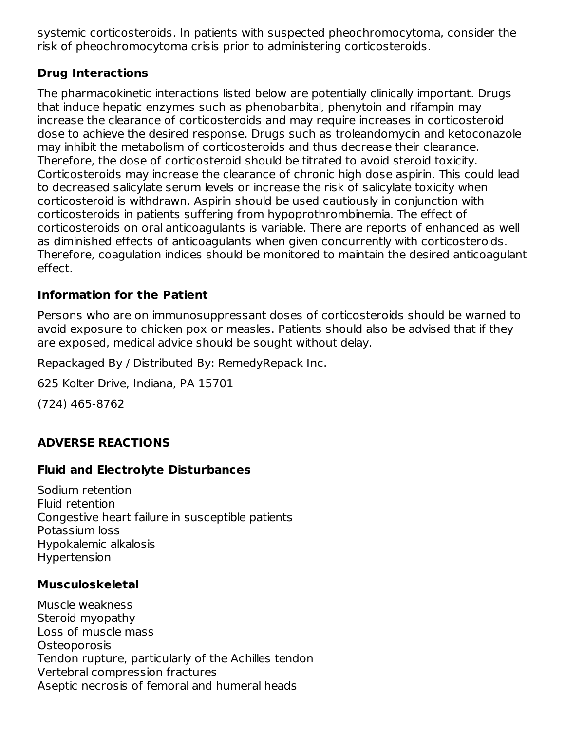systemic corticosteroids. In patients with suspected pheochromocytoma, consider the risk of pheochromocytoma crisis prior to administering corticosteroids.

#### **Drug Interactions**

The pharmacokinetic interactions listed below are potentially clinically important. Drugs that induce hepatic enzymes such as phenobarbital, phenytoin and rifampin may increase the clearance of corticosteroids and may require increases in corticosteroid dose to achieve the desired response. Drugs such as troleandomycin and ketoconazole may inhibit the metabolism of corticosteroids and thus decrease their clearance. Therefore, the dose of corticosteroid should be titrated to avoid steroid toxicity. Corticosteroids may increase the clearance of chronic high dose aspirin. This could lead to decreased salicylate serum levels or increase the risk of salicylate toxicity when corticosteroid is withdrawn. Aspirin should be used cautiously in conjunction with corticosteroids in patients suffering from hypoprothrombinemia. The effect of corticosteroids on oral anticoagulants is variable. There are reports of enhanced as well as diminished effects of anticoagulants when given concurrently with corticosteroids. Therefore, coagulation indices should be monitored to maintain the desired anticoagulant effect.

# **Information for the Patient**

Persons who are on immunosuppressant doses of corticosteroids should be warned to avoid exposure to chicken pox or measles. Patients should also be advised that if they are exposed, medical advice should be sought without delay.

Repackaged By / Distributed By: RemedyRepack Inc.

625 Kolter Drive, Indiana, PA 15701

(724) 465-8762

# **ADVERSE REACTIONS**

# **Fluid and Electrolyte Disturbances**

Sodium retention Fluid retention Congestive heart failure in susceptible patients Potassium loss Hypokalemic alkalosis Hypertension

#### **Musculoskeletal**

Muscle weakness Steroid myopathy Loss of muscle mass Osteoporosis Tendon rupture, particularly of the Achilles tendon Vertebral compression fractures Aseptic necrosis of femoral and humeral heads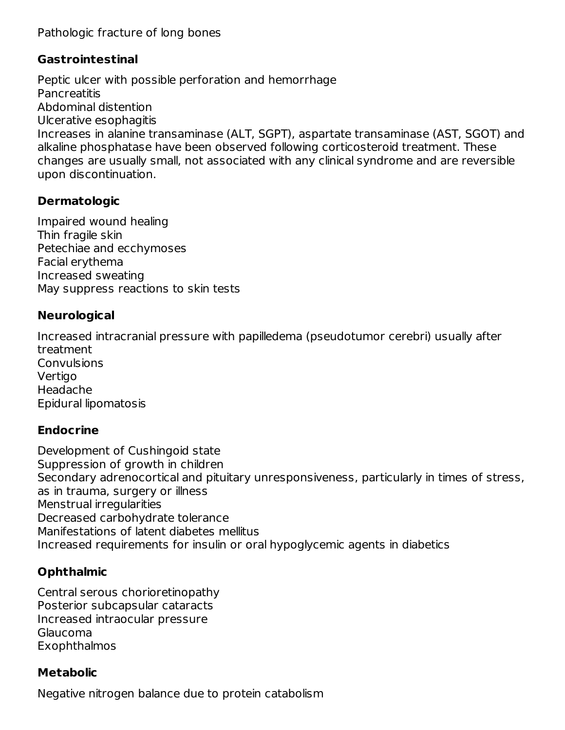#### Pathologic fracture of long bones

#### **Gastrointestinal**

Peptic ulcer with possible perforation and hemorrhage **Pancreatitis** Abdominal distention Ulcerative esophagitis Increases in alanine transaminase (ALT, SGPT), aspartate transaminase (AST, SGOT) and alkaline phosphatase have been observed following corticosteroid treatment. These changes are usually small, not associated with any clinical syndrome and are reversible upon discontinuation.

#### **Dermatologic**

Impaired wound healing Thin fragile skin Petechiae and ecchymoses Facial erythema Increased sweating May suppress reactions to skin tests

#### **Neurological**

Increased intracranial pressure with papilledema (pseudotumor cerebri) usually after treatment **Convulsions** Vertigo Headache Epidural lipomatosis

# **Endocrine**

Development of Cushingoid state Suppression of growth in children Secondary adrenocortical and pituitary unresponsiveness, particularly in times of stress, as in trauma, surgery or illness Menstrual irregularities Decreased carbohydrate tolerance Manifestations of latent diabetes mellitus Increased requirements for insulin or oral hypoglycemic agents in diabetics

# **Ophthalmic**

Central serous chorioretinopathy Posterior subcapsular cataracts Increased intraocular pressure Glaucoma Exophthalmos

#### **Metabolic**

Negative nitrogen balance due to protein catabolism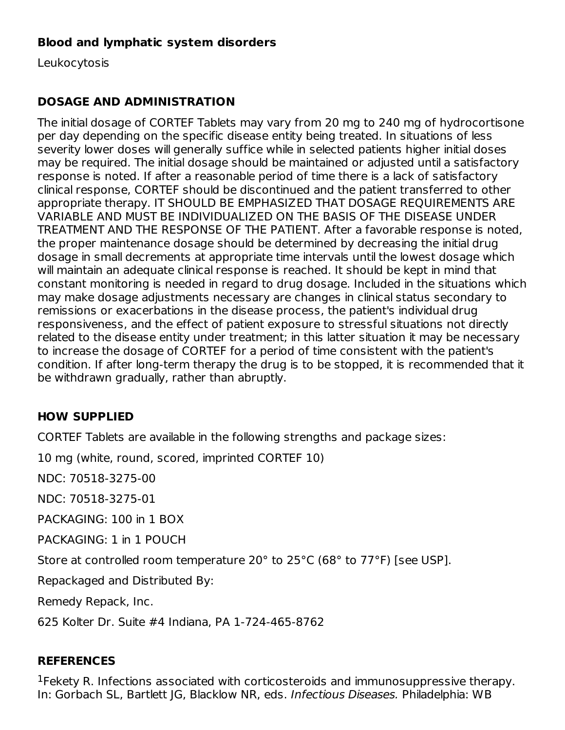# **Blood and lymphatic system disorders**

Leukocytosis

# **DOSAGE AND ADMINISTRATION**

The initial dosage of CORTEF Tablets may vary from 20 mg to 240 mg of hydrocortisone per day depending on the specific disease entity being treated. In situations of less severity lower doses will generally suffice while in selected patients higher initial doses may be required. The initial dosage should be maintained or adjusted until a satisfactory response is noted. If after a reasonable period of time there is a lack of satisfactory clinical response, CORTEF should be discontinued and the patient transferred to other appropriate therapy. IT SHOULD BE EMPHASIZED THAT DOSAGE REQUIREMENTS ARE VARIABLE AND MUST BE INDIVIDUALIZED ON THE BASIS OF THE DISEASE UNDER TREATMENT AND THE RESPONSE OF THE PATIENT. After a favorable response is noted, the proper maintenance dosage should be determined by decreasing the initial drug dosage in small decrements at appropriate time intervals until the lowest dosage which will maintain an adequate clinical response is reached. It should be kept in mind that constant monitoring is needed in regard to drug dosage. Included in the situations which may make dosage adjustments necessary are changes in clinical status secondary to remissions or exacerbations in the disease process, the patient's individual drug responsiveness, and the effect of patient exposure to stressful situations not directly related to the disease entity under treatment; in this latter situation it may be necessary to increase the dosage of CORTEF for a period of time consistent with the patient's condition. If after long-term therapy the drug is to be stopped, it is recommended that it be withdrawn gradually, rather than abruptly.

# **HOW SUPPLIED**

CORTEF Tablets are available in the following strengths and package sizes:

10 mg (white, round, scored, imprinted CORTEF 10)

NDC: 70518-3275-00

NDC: 70518-3275-01

PACKAGING: 100 in 1 BOX

PACKAGING: 1 in 1 POUCH

Store at controlled room temperature 20° to 25°C (68° to 77°F) [see USP].

Repackaged and Distributed By:

Remedy Repack, Inc.

625 Kolter Dr. Suite #4 Indiana, PA 1-724-465-8762

# **REFERENCES**

<sup>1</sup> Fekety R. Infections associated with corticosteroids and immunosuppressive therapy. In: Gorbach SL, Bartlett JG, Blacklow NR, eds. Infectious Diseases. Philadelphia: WB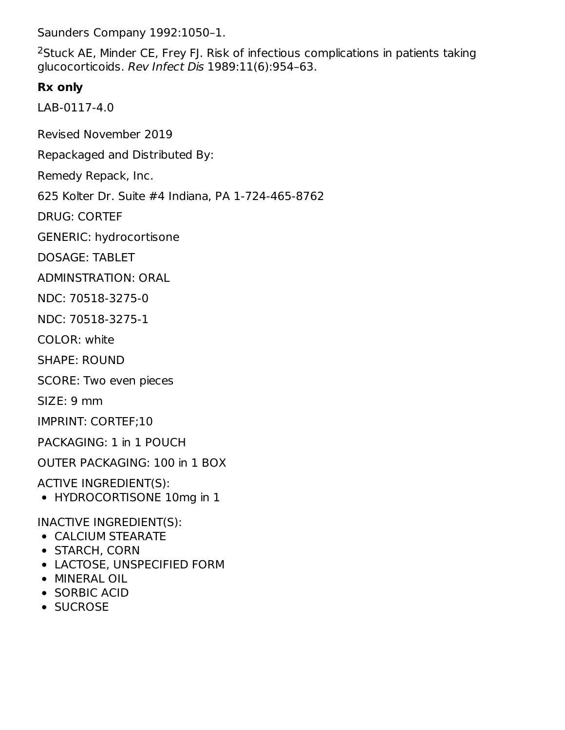Saunders Company 1992:1050–1.

<sup>2</sup>Stuck AE, Minder CE, Frey FJ. Risk of infectious complications in patients taking glucocorticoids. Rev Infect Dis 1989:11(6):954–63.

#### **Rx only**

LAB-0117-4.0

Revised November 2019

Repackaged and Distributed By:

Remedy Repack, Inc.

625 Kolter Dr. Suite #4 Indiana, PA 1-724-465-8762

DRUG: CORTEF

GENERIC: hydrocortisone

DOSAGE: TABLET

ADMINSTRATION: ORAL

NDC: 70518-3275-0

NDC: 70518-3275-1

COLOR: white

SHAPE: ROUND

SCORE: Two even pieces

SIZE: 9 mm

IMPRINT: CORTEF;10

PACKAGING: 1 in 1 POUCH

OUTER PACKAGING: 100 in 1 BOX

ACTIVE INGREDIENT(S):

HYDROCORTISONE 10mg in 1

INACTIVE INGREDIENT(S):

- CALCIUM STEARATE
- STARCH, CORN
- LACTOSE, UNSPECIFIED FORM
- MINERAL OIL
- SORBIC ACID
- SUCROSE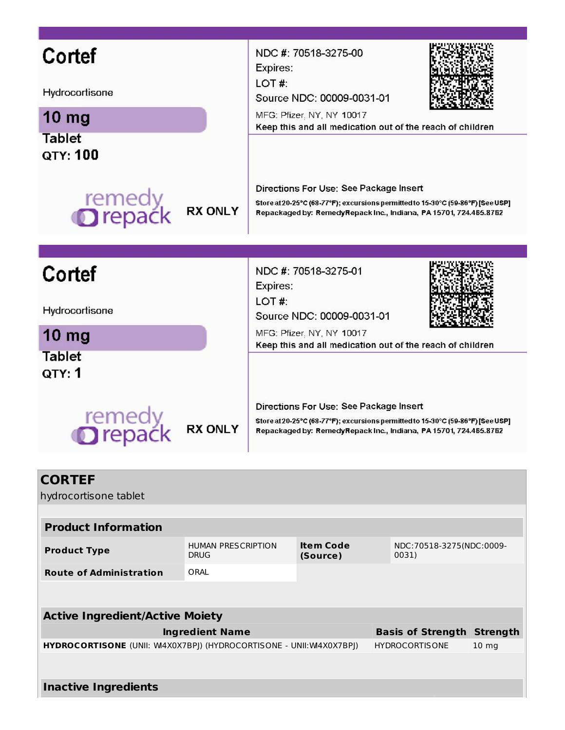| Cortef                                         |                                                                                        | Expires:<br>LOT#:                                                                                                                                                                              | NDC #: 70518-3275-00      |                                                           |  |  |
|------------------------------------------------|----------------------------------------------------------------------------------------|------------------------------------------------------------------------------------------------------------------------------------------------------------------------------------------------|---------------------------|-----------------------------------------------------------|--|--|
| Hydrocortisone                                 |                                                                                        |                                                                                                                                                                                                | Source NDC: 00009-0031-01 |                                                           |  |  |
| 10 <sub>mg</sub>                               |                                                                                        |                                                                                                                                                                                                | MFG: Pfizer, NY, NY 10017 | Keep this and all medication out of the reach of children |  |  |
| Tablet<br>QTY: 100                             |                                                                                        |                                                                                                                                                                                                |                           |                                                           |  |  |
| remedy<br><b>O</b> repack                      | <b>RX ONLY</b>                                                                         | Directions For Use: See Package Insert<br>Store at 20-25°C (68-77°F); excursions permitted to 15-30°C (59-86°F) [See USP]<br>Repackaged by: RemedyRepack Inc., Indiana, PA 15701, 724.465.8762 |                           |                                                           |  |  |
|                                                |                                                                                        |                                                                                                                                                                                                |                           |                                                           |  |  |
| Cortef                                         |                                                                                        | Expires:                                                                                                                                                                                       | NDC #: 70518-3275-01      |                                                           |  |  |
| Hydrocortisone                                 |                                                                                        | LOT#:<br>Source NDC: 00009-0031-01                                                                                                                                                             |                           |                                                           |  |  |
| 10 <sub>mg</sub>                               | MFG: Pfizer, NY, NY 10017<br>Keep this and all medication out of the reach of children |                                                                                                                                                                                                |                           |                                                           |  |  |
| <b>Tablet</b><br>QTY: 1                        |                                                                                        |                                                                                                                                                                                                |                           |                                                           |  |  |
| remed<br><b>Trepad</b><br>$\mathbf{v}$ repuent | <b>RX ONLY</b>                                                                         | Directions For Use: See Package Insert<br>Store at 20-25°C (68-77°F); excursions permitted to 15-30°C (59-86°F) [See USP]<br>Repackaged by: RemedyRepack Inc., Indiana, PA 15701, 724.465.8762 |                           |                                                           |  |  |
|                                                |                                                                                        |                                                                                                                                                                                                |                           |                                                           |  |  |
| <b>CORTEF</b><br>hydrocortisone tablet         |                                                                                        |                                                                                                                                                                                                |                           |                                                           |  |  |
| <b>Product Information</b>                     |                                                                                        |                                                                                                                                                                                                |                           |                                                           |  |  |
| <b>Product Type</b>                            | <b>HUMAN PRESCRIPTION</b><br><b>DRUG</b>                                               |                                                                                                                                                                                                | <b>Item Code</b>          | NDC:70518-3275(NDC:0009-<br>0031)                         |  |  |
| <b>Route of Administration</b>                 | ORAL                                                                                   | (Source)                                                                                                                                                                                       |                           |                                                           |  |  |
|                                                |                                                                                        |                                                                                                                                                                                                |                           |                                                           |  |  |
|                                                |                                                                                        |                                                                                                                                                                                                |                           |                                                           |  |  |

| <b>Active Ingredient/Active Moiety</b>                                    |                                   |                 |  |  |  |  |  |  |
|---------------------------------------------------------------------------|-----------------------------------|-----------------|--|--|--|--|--|--|
| <b>Ingredient Name</b>                                                    | <b>Basis of Strength Strength</b> |                 |  |  |  |  |  |  |
| <b>HYDROCORTISONE</b> (UNII: W4X0X7BPJ) (HYDROCORTISONE - UNII:W4X0X7BPJ) | <b>HYDROCORTISONE</b>             | $10 \text{ mg}$ |  |  |  |  |  |  |
|                                                                           |                                   |                 |  |  |  |  |  |  |
|                                                                           |                                   |                 |  |  |  |  |  |  |
| Inactive Ingrediants                                                      |                                   |                 |  |  |  |  |  |  |

**Inactive Ingredients**